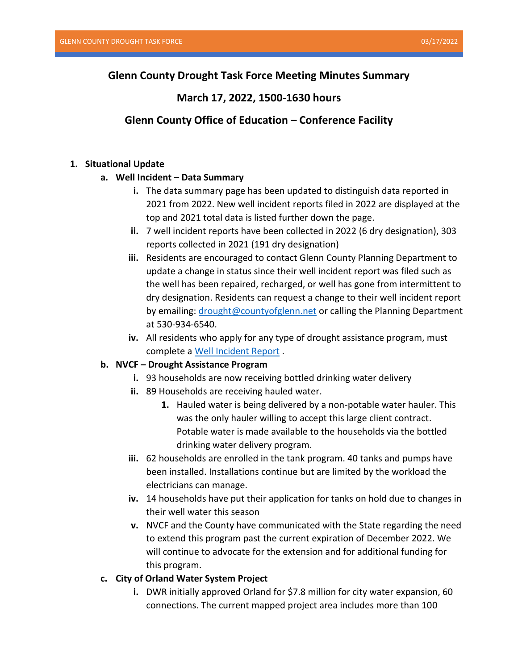# **Glenn County Drought Task Force Meeting Minutes Summary**

# **March 17, 2022, 1500-1630 hours**

# **Glenn County Office of Education – Conference Facility**

#### **1. Situational Update**

#### **a. Well Incident – Data Summary**

- **i.** The data summary page has been updated to distinguish data reported in 2021 from 2022. New well incident reports filed in 2022 are displayed at the top and 2021 total data is listed further down the page.
- **ii.** 7 well incident reports have been collected in 2022 (6 dry designation), 303 reports collected in 2021 (191 dry designation)
- **iii.** Residents are encouraged to contact Glenn County Planning Department to update a change in status since their well incident report was filed such as the well has been repaired, recharged, or well has gone from intermittent to dry designation. Residents can request a change to their well incident report by emailing[: drought@countyofglenn.net](mailto:drought@countyofglenn.net) or calling the Planning Department at 530-934-6540.
- **iv.** All residents who apply for any type of drought assistance program, must complete a [Well Incident Report](https://survey123.arcgis.com/share/5b5c9cfac11e43eaa42fde18b1c04771) .

### **b. NVCF – Drought Assistance Program**

- **i.** 93 households are now receiving bottled drinking water delivery
- **ii.** 89 Households are receiving hauled water.
	- **1.** Hauled water is being delivered by a non-potable water hauler. This was the only hauler willing to accept this large client contract. Potable water is made available to the households via the bottled drinking water delivery program.
- **iii.** 62 households are enrolled in the tank program. 40 tanks and pumps have been installed. Installations continue but are limited by the workload the electricians can manage.
- **iv.** 14 households have put their application for tanks on hold due to changes in their well water this season
- **v.** NVCF and the County have communicated with the State regarding the need to extend this program past the current expiration of December 2022. We will continue to advocate for the extension and for additional funding for this program.
- **c. City of Orland Water System Project** 
	- **i.** DWR initially approved Orland for \$7.8 million for city water expansion, 60 connections. The current mapped project area includes more than 100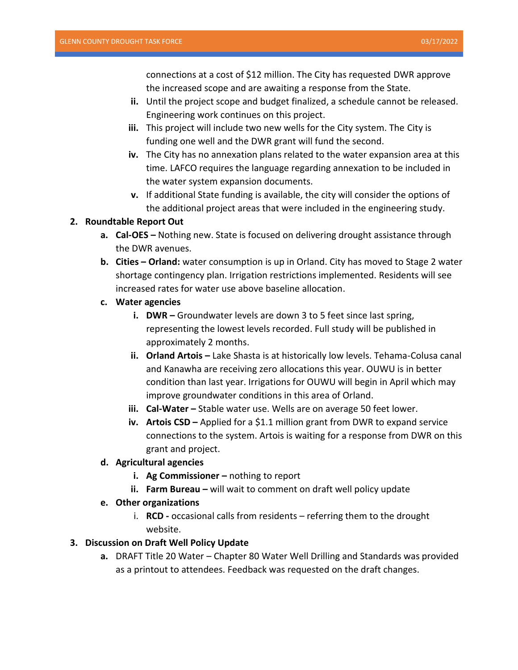connections at a cost of \$12 million. The City has requested DWR approve the increased scope and are awaiting a response from the State.

- **ii.** Until the project scope and budget finalized, a schedule cannot be released. Engineering work continues on this project.
- **iii.** This project will include two new wells for the City system. The City is funding one well and the DWR grant will fund the second.
- **iv.** The City has no annexation plans related to the water expansion area at this time. LAFCO requires the language regarding annexation to be included in the water system expansion documents.
- **v.** If additional State funding is available, the city will consider the options of the additional project areas that were included in the engineering study.

### **2. Roundtable Report Out**

- **a. Cal-OES –** Nothing new. State is focused on delivering drought assistance through the DWR avenues.
- **b. Cities – Orland:** water consumption is up in Orland. City has moved to Stage 2 water shortage contingency plan. Irrigation restrictions implemented. Residents will see increased rates for water use above baseline allocation.
- **c. Water agencies**
	- **i. DWR –** Groundwater levels are down 3 to 5 feet since last spring, representing the lowest levels recorded. Full study will be published in approximately 2 months.
	- **ii.** Orland Artois Lake Shasta is at historically low levels. Tehama-Colusa canal and Kanawha are receiving zero allocations this year. OUWU is in better condition than last year. Irrigations for OUWU will begin in April which may improve groundwater conditions in this area of Orland.
	- **iii.** Cal-Water Stable water use. Wells are on average 50 feet lower.
	- **iv. Artois CSD –** Applied for a \$1.1 million grant from DWR to expand service connections to the system. Artois is waiting for a response from DWR on this grant and project.

### **d. Agricultural agencies**

- **i.** Ag Commissioner nothing to report
- **ii. Farm Bureau** will wait to comment on draft well policy update

## **e. Other organizations**

i. **RCD -** occasional calls from residents – referring them to the drought website.

## **3. Discussion on Draft Well Policy Update**

**a.** DRAFT Title 20 Water – Chapter 80 Water Well Drilling and Standards was provided as a printout to attendees. Feedback was requested on the draft changes.